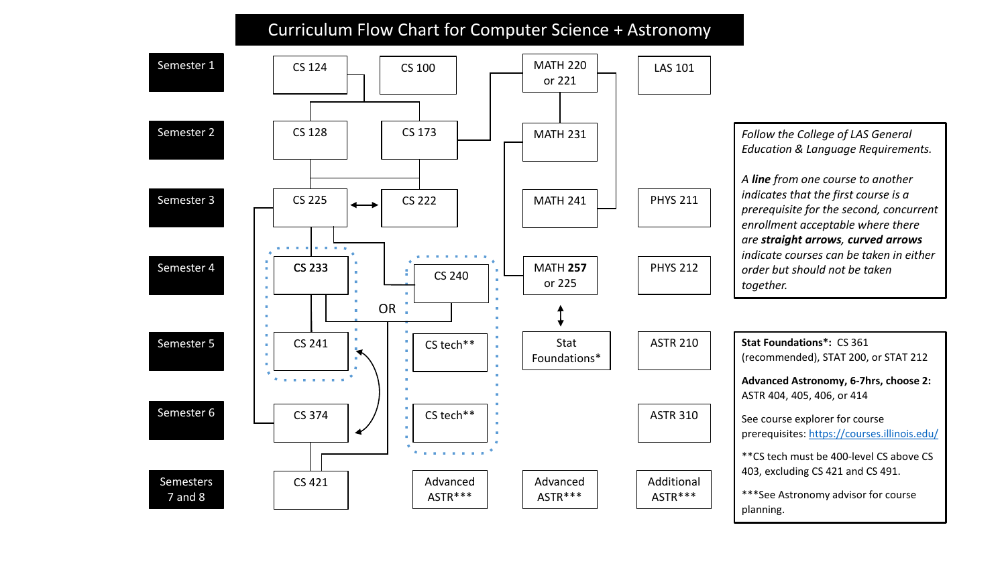## Curriculum Flow Chart for Computer Science + Astronomy